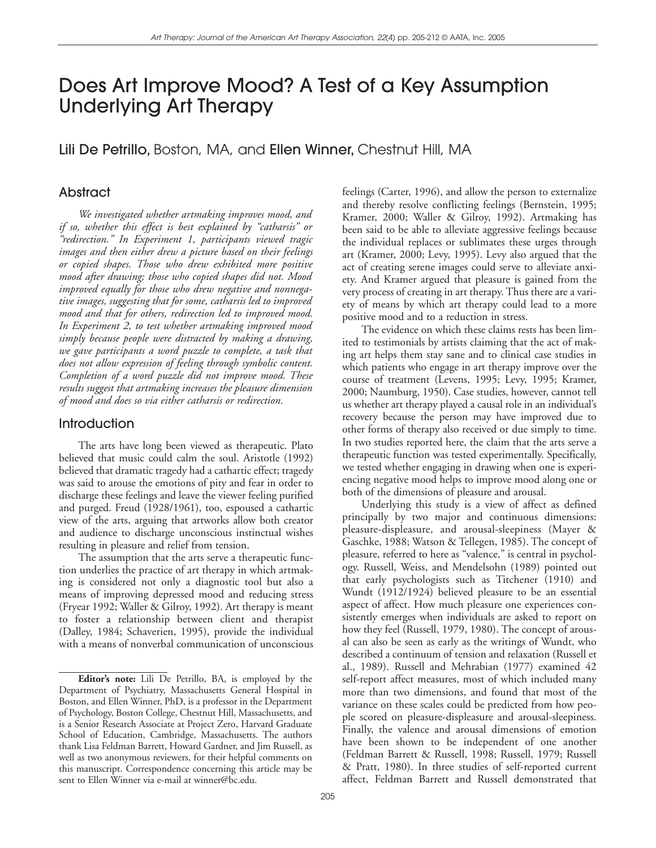# Does Art Improve Mood? A Test of a Key Assumption Underlying Art Therapy

Lili De Petrillo, Boston, MA, and Ellen Winner, Chestnut Hill, MA

# Abstract

*We investigated whether artmaking improves mood, and if so, whether this effect is best explained by "catharsis" or "redirection." In Experiment 1, participants viewed tragic images and then either drew a picture based on their feelings or copied shapes. Those who drew exhibited more positive mood after drawing; those who copied shapes did not. Mood improved equally for those who drew negative and nonnegative images, suggesting that for some, catharsis led to improved mood and that for others, redirection led to improved mood. In Experiment 2, to test whether artmaking improved mood simply because people were distracted by making a drawing, we gave participants a word puzzle to complete, a task that does not allow expression of feeling through symbolic content. Completion of a word puzzle did not improve mood. These results suggest that artmaking increases the pleasure dimension of mood and does so via either catharsis or redirection.*

# **Introduction**

The arts have long been viewed as therapeutic. Plato believed that music could calm the soul. Aristotle (1992) believed that dramatic tragedy had a cathartic effect; tragedy was said to arouse the emotions of pity and fear in order to discharge these feelings and leave the viewer feeling purified and purged. Freud (1928/1961), too, espoused a cathartic view of the arts, arguing that artworks allow both creator and audience to discharge unconscious instinctual wishes resulting in pleasure and relief from tension.

The assumption that the arts serve a therapeutic function underlies the practice of art therapy in which artmaking is considered not only a diagnostic tool but also a means of improving depressed mood and reducing stress (Fryear 1992; Waller & Gilroy, 1992). Art therapy is meant to foster a relationship between client and therapist (Dalley, 1984; Schaverien, 1995), provide the individual with a means of nonverbal communication of unconscious

feelings (Carter, 1996), and allow the person to externalize and thereby resolve conflicting feelings (Bernstein, 1995; Kramer, 2000; Waller & Gilroy, 1992). Artmaking has been said to be able to alleviate aggressive feelings because the individual replaces or sublimates these urges through art (Kramer, 2000; Levy, 1995). Levy also argued that the act of creating serene images could serve to alleviate anxiety. And Kramer argued that pleasure is gained from the very process of creating in art therapy. Thus there are a variety of means by which art therapy could lead to a more positive mood and to a reduction in stress.

The evidence on which these claims rests has been limited to testimonials by artists claiming that the act of making art helps them stay sane and to clinical case studies in which patients who engage in art therapy improve over the course of treatment (Levens, 1995; Levy, 1995; Kramer, 2000; Naumburg, 1950). Case studies, however, cannot tell us whether art therapy played a causal role in an individual's recovery because the person may have improved due to other forms of therapy also received or due simply to time. In two studies reported here, the claim that the arts serve a therapeutic function was tested experimentally. Specifically, we tested whether engaging in drawing when one is experiencing negative mood helps to improve mood along one or both of the dimensions of pleasure and arousal.

Underlying this study is a view of affect as defined principally by two major and continuous dimensions: pleasure-displeasure, and arousal-sleepiness (Mayer & Gaschke, 1988; Watson & Tellegen, 1985). The concept of pleasure, referred to here as "valence," is central in psychology. Russell, Weiss, and Mendelsohn (1989) pointed out that early psychologists such as Titchener (1910) and Wundt (1912/1924) believed pleasure to be an essential aspect of affect. How much pleasure one experiences consistently emerges when individuals are asked to report on how they feel (Russell, 1979, 1980). The concept of arousal can also be seen as early as the writings of Wundt, who described a continuum of tension and relaxation (Russell et al., 1989). Russell and Mehrabian (1977) examined 42 self-report affect measures, most of which included many more than two dimensions, and found that most of the variance on these scales could be predicted from how people scored on pleasure-displeasure and arousal-sleepiness. Finally, the valence and arousal dimensions of emotion have been shown to be independent of one another (Feldman Barrett & Russell, 1998; Russell, 1979; Russell & Pratt, 1980). In three studies of self-reported current affect, Feldman Barrett and Russell demonstrated that

**Editor's note:** Lili De Petrillo, BA, is employed by the Department of Psychiatry, Massachusetts General Hospital in Boston, and Ellen Winner, PhD, is a professor in the Department of Psychology, Boston College, Chestnut Hill, Massachusetts, and is a Senior Research Associate at Project Zero, Harvard Graduate School of Education, Cambridge, Massachusetts. The authors thank Lisa Feldman Barrett, Howard Gardner, and Jim Russell, as well as two anonymous reviewers, for their helpful comments on this manuscript. Correspondence concerning this article may be sent to Ellen Winner via e-mail at winner@bc.edu.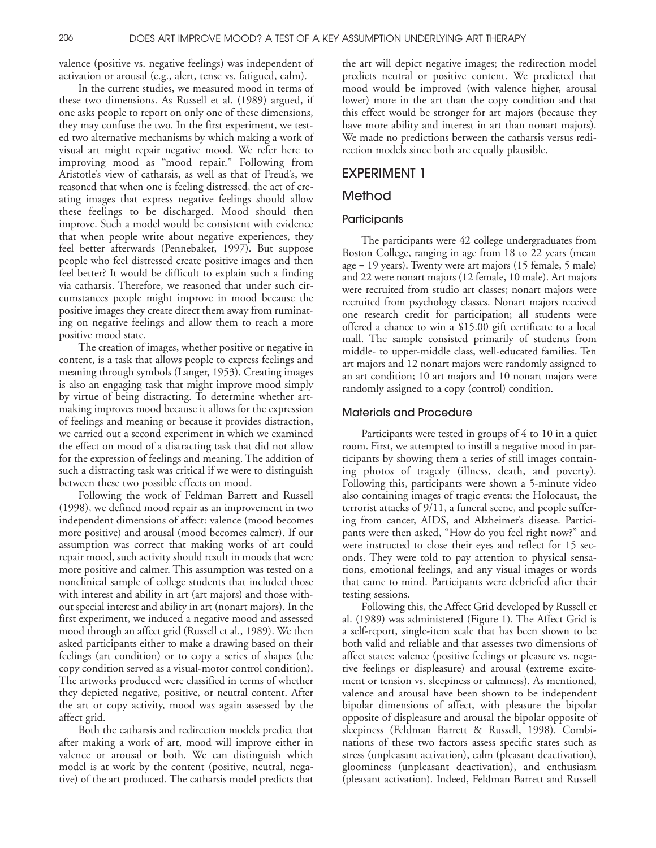valence (positive vs. negative feelings) was independent of activation or arousal (e.g., alert, tense vs. fatigued, calm).

In the current studies, we measured mood in terms of these two dimensions. As Russell et al. (1989) argued, if one asks people to report on only one of these dimensions, they may confuse the two. In the first experiment, we tested two alternative mechanisms by which making a work of visual art might repair negative mood. We refer here to improving mood as "mood repair." Following from Aristotle's view of catharsis, as well as that of Freud's, we reasoned that when one is feeling distressed, the act of creating images that express negative feelings should allow these feelings to be discharged. Mood should then improve. Such a model would be consistent with evidence that when people write about negative experiences, they feel better afterwards (Pennebaker, 1997). But suppose people who feel distressed create positive images and then feel better? It would be difficult to explain such a finding via catharsis. Therefore, we reasoned that under such circumstances people might improve in mood because the positive images they create direct them away from ruminating on negative feelings and allow them to reach a more positive mood state.

The creation of images, whether positive or negative in content, is a task that allows people to express feelings and meaning through symbols (Langer, 1953). Creating images is also an engaging task that might improve mood simply by virtue of being distracting. To determine whether artmaking improves mood because it allows for the expression of feelings and meaning or because it provides distraction, we carried out a second experiment in which we examined the effect on mood of a distracting task that did not allow for the expression of feelings and meaning. The addition of such a distracting task was critical if we were to distinguish between these two possible effects on mood.

Following the work of Feldman Barrett and Russell (1998), we defined mood repair as an improvement in two independent dimensions of affect: valence (mood becomes more positive) and arousal (mood becomes calmer). If our assumption was correct that making works of art could repair mood, such activity should result in moods that were more positive and calmer. This assumption was tested on a nonclinical sample of college students that included those with interest and ability in art (art majors) and those without special interest and ability in art (nonart majors). In the first experiment, we induced a negative mood and assessed mood through an affect grid (Russell et al., 1989). We then asked participants either to make a drawing based on their feelings (art condition) or to copy a series of shapes (the copy condition served as a visual-motor control condition). The artworks produced were classified in terms of whether they depicted negative, positive, or neutral content. After the art or copy activity, mood was again assessed by the affect grid.

Both the catharsis and redirection models predict that after making a work of art, mood will improve either in valence or arousal or both. We can distinguish which model is at work by the content (positive, neutral, negative) of the art produced. The catharsis model predicts that

the art will depict negative images; the redirection model predicts neutral or positive content. We predicted that mood would be improved (with valence higher, arousal lower) more in the art than the copy condition and that this effect would be stronger for art majors (because they have more ability and interest in art than nonart majors). We made no predictions between the catharsis versus redirection models since both are equally plausible.

# EXPERIMENT 1

#### Method

#### **Participants**

The participants were 42 college undergraduates from Boston College, ranging in age from 18 to 22 years (mean age = 19 years). Twenty were art majors (15 female, 5 male) and 22 were nonart majors (12 female, 10 male). Art majors were recruited from studio art classes; nonart majors were recruited from psychology classes. Nonart majors received one research credit for participation; all students were offered a chance to win a \$15.00 gift certificate to a local mall. The sample consisted primarily of students from middle- to upper-middle class, well-educated families. Ten art majors and 12 nonart majors were randomly assigned to an art condition; 10 art majors and 10 nonart majors were randomly assigned to a copy (control) condition.

#### Materials and Procedure

Participants were tested in groups of 4 to 10 in a quiet room. First, we attempted to instill a negative mood in participants by showing them a series of still images containing photos of tragedy (illness, death, and poverty). Following this, participants were shown a 5-minute video also containing images of tragic events: the Holocaust, the terrorist attacks of 9/11, a funeral scene, and people suffering from cancer, AIDS, and Alzheimer's disease. Participants were then asked, "How do you feel right now?" and were instructed to close their eyes and reflect for 15 seconds. They were told to pay attention to physical sensations, emotional feelings, and any visual images or words that came to mind. Participants were debriefed after their testing sessions.

Following this, the Affect Grid developed by Russell et al. (1989) was administered (Figure 1). The Affect Grid is a self-report, single-item scale that has been shown to be both valid and reliable and that assesses two dimensions of affect states: valence (positive feelings or pleasure vs. negative feelings or displeasure) and arousal (extreme excitement or tension vs. sleepiness or calmness). As mentioned, valence and arousal have been shown to be independent bipolar dimensions of affect, with pleasure the bipolar opposite of displeasure and arousal the bipolar opposite of sleepiness (Feldman Barrett & Russell, 1998). Combinations of these two factors assess specific states such as stress (unpleasant activation), calm (pleasant deactivation), gloominess (unpleasant deactivation), and enthusiasm (pleasant activation). Indeed, Feldman Barrett and Russell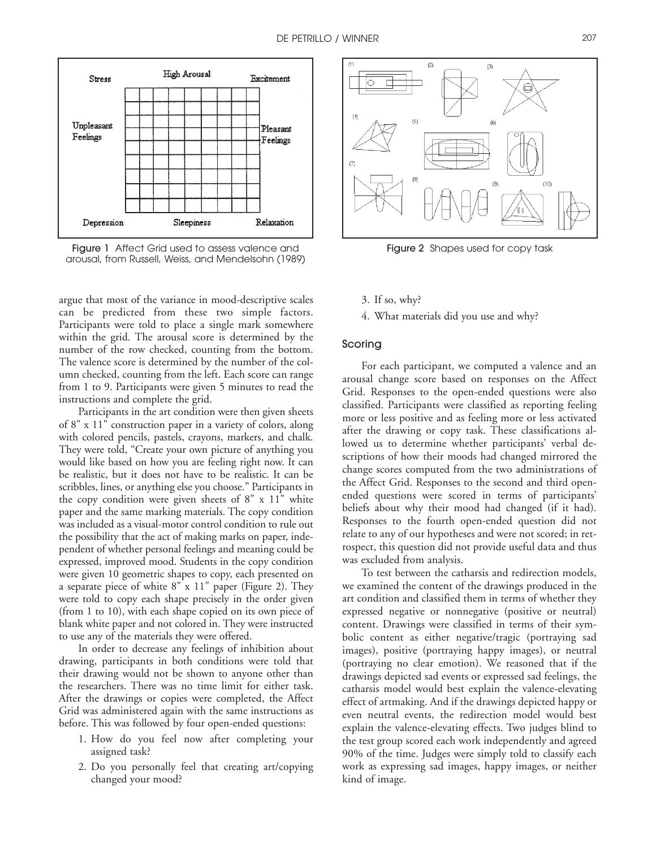

Figure 1 Affect Grid used to assess valence and arousal, from Russell, Weiss, and Mendelsohn (1989)

argue that most of the variance in mood-descriptive scales can be predicted from these two simple factors. Participants were told to place a single mark somewhere within the grid. The arousal score is determined by the number of the row checked, counting from the bottom. The valence score is determined by the number of the column checked, counting from the left. Each score can range from 1 to 9. Participants were given 5 minutes to read the instructions and complete the grid.

Participants in the art condition were then given sheets of 8" x 11" construction paper in a variety of colors, along with colored pencils, pastels, crayons, markers, and chalk. They were told, "Create your own picture of anything you would like based on how you are feeling right now. It can be realistic, but it does not have to be realistic. It can be scribbles, lines, or anything else you choose." Participants in the copy condition were given sheets of 8" x 11" white paper and the same marking materials. The copy condition was included as a visual-motor control condition to rule out the possibility that the act of making marks on paper, independent of whether personal feelings and meaning could be expressed, improved mood. Students in the copy condition were given 10 geometric shapes to copy, each presented on a separate piece of white 8" x 11" paper (Figure 2). They were told to copy each shape precisely in the order given (from 1 to 10), with each shape copied on its own piece of blank white paper and not colored in. They were instructed to use any of the materials they were offered.

In order to decrease any feelings of inhibition about drawing, participants in both conditions were told that their drawing would not be shown to anyone other than the researchers. There was no time limit for either task. After the drawings or copies were completed, the Affect Grid was administered again with the same instructions as before. This was followed by four open-ended questions:

- 1. How do you feel now after completing your assigned task?
- 2. Do you personally feel that creating art/copying changed your mood?



Figure 2 Shapes used for copy task

- 3. If so, why?
- 4. What materials did you use and why?

#### Scoring

For each participant, we computed a valence and an arousal change score based on responses on the Affect Grid. Responses to the open-ended questions were also classified. Participants were classified as reporting feeling more or less positive and as feeling more or less activated after the drawing or copy task. These classifications allowed us to determine whether participants' verbal descriptions of how their moods had changed mirrored the change scores computed from the two administrations of the Affect Grid. Responses to the second and third openended questions were scored in terms of participants' beliefs about why their mood had changed (if it had). Responses to the fourth open-ended question did not relate to any of our hypotheses and were not scored; in retrospect, this question did not provide useful data and thus was excluded from analysis.

To test between the catharsis and redirection models, we examined the content of the drawings produced in the art condition and classified them in terms of whether they expressed negative or nonnegative (positive or neutral) content. Drawings were classified in terms of their symbolic content as either negative/tragic (portraying sad images), positive (portraying happy images), or neutral (portraying no clear emotion). We reasoned that if the drawings depicted sad events or expressed sad feelings, the catharsis model would best explain the valence-elevating effect of artmaking. And if the drawings depicted happy or even neutral events, the redirection model would best explain the valence-elevating effects. Two judges blind to the test group scored each work independently and agreed 90% of the time. Judges were simply told to classify each work as expressing sad images, happy images, or neither kind of image.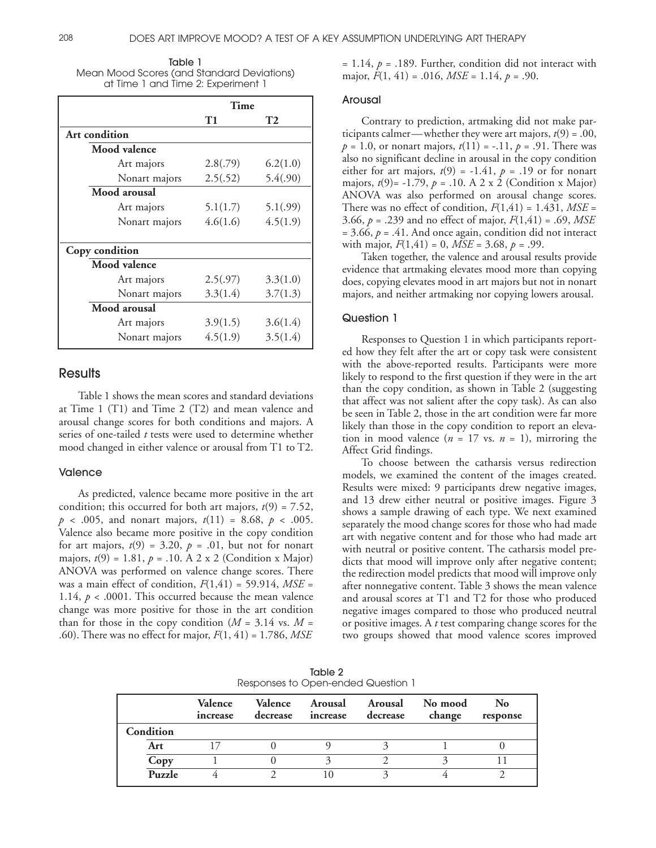Table 1 Mean Mood Scores (and Standard Deviations) at Time 1 and Time 2: Experiment 1

|                | Time     |           |  |
|----------------|----------|-----------|--|
|                | T1       | <b>T2</b> |  |
| Art condition  |          |           |  |
| Mood valence   |          |           |  |
| Art majors     | 2.8(.79) | 6.2(1.0)  |  |
| Nonart majors  | 2.5(.52) | 5.4(.90)  |  |
| Mood arousal   |          |           |  |
| Art majors     | 5.1(1.7) | 5.1(.99)  |  |
| Nonart majors  | 4.6(1.6) | 4.5(1.9)  |  |
|                |          |           |  |
| Copy condition |          |           |  |
| Mood valence   |          |           |  |
| Art majors     | 2.5(.97) | 3.3(1.0)  |  |
| Nonart majors  | 3.3(1.4) | 3.7(1.3)  |  |
| Mood arousal   |          |           |  |
| Art majors     | 3.9(1.5) | 3.6(1.4)  |  |
| Nonart majors  | 4.5(1.9) | 3.5(1.4)  |  |
|                |          |           |  |

# **Results**

Table 1 shows the mean scores and standard deviations at Time 1 (T1) and Time 2 (T2) and mean valence and arousal change scores for both conditions and majors. A series of one-tailed *t* tests were used to determine whether mood changed in either valence or arousal from T1 to T2.

#### Valence

As predicted, valence became more positive in the art condition; this occurred for both art majors,  $t(9) = 7.52$ , *p* < .005, and nonart majors, *t*(11) = 8.68, *p* < .005. Valence also became more positive in the copy condition for art majors,  $t(9) = 3.20$ ,  $p = .01$ , but not for nonart majors,  $t(9) = 1.81$ ,  $p = .10$ . A 2 x 2 (Condition x Major) ANOVA was performed on valence change scores. There was a main effect of condition, *F*(1,41) = 59.914, *MSE* = 1.14,  $p < .0001$ . This occurred because the mean valence change was more positive for those in the art condition than for those in the copy condition  $(M = 3.14 \text{ vs. } M =$ .60). There was no effect for major, *F*(1, 41) = 1.786, *MSE*

= 1.14, *p* = .189. Further, condition did not interact with major, *F*(1, 41) = .016, *MSE* = 1.14, *p* = .90.

#### Arousal

Contrary to prediction, artmaking did not make participants calmer—whether they were art majors,  $t(9) = .00$ ,  $p = 1.0$ , or nonart majors,  $t(11) = -.11$ ,  $p = .91$ . There was also no significant decline in arousal in the copy condition either for art majors,  $t(9) = -1.41$ ,  $p = .19$  or for nonart majors,  $t(9) = -1.79$ ,  $p = .10$ . A 2 x 2 (Condition x Major) ANOVA was also performed on arousal change scores. There was no effect of condition,  $F(1,41) = 1.431$ ,  $MSE =$ 3.66, *p* = .239 and no effect of major, *F*(1,41) = .69, *MSE* = 3.66, *p* = .41. And once again, condition did not interact with major,  $F(1,41) = 0$ ,  $MSE = 3.68$ ,  $p = .99$ .

Taken together, the valence and arousal results provide evidence that artmaking elevates mood more than copying does, copying elevates mood in art majors but not in nonart majors, and neither artmaking nor copying lowers arousal.

#### Question 1

Responses to Question 1 in which participants reported how they felt after the art or copy task were consistent with the above-reported results. Participants were more likely to respond to the first question if they were in the art than the copy condition, as shown in Table 2 (suggesting that affect was not salient after the copy task). As can also be seen in Table 2, those in the art condition were far more likely than those in the copy condition to report an elevation in mood valence  $(n = 17 \text{ vs. } n = 1)$ , mirroring the Affect Grid findings.

To choose between the catharsis versus redirection models, we examined the content of the images created. Results were mixed: 9 participants drew negative images, and 13 drew either neutral or positive images. Figure 3 shows a sample drawing of each type. We next examined separately the mood change scores for those who had made art with negative content and for those who had made art with neutral or positive content. The catharsis model predicts that mood will improve only after negative content; the redirection model predicts that mood will improve only after nonnegative content. Table 3 shows the mean valence and arousal scores at T1 and T2 for those who produced negative images compared to those who produced neutral or positive images. A *t* test comparing change scores for the two groups showed that mood valence scores improved

Table 2 Responses to Open-ended Question 1

|           | Valence<br>increase | <b>Valence</b><br>decrease | <b>Arousal</b><br>increase | <b>Arousal</b><br>decrease | No mood<br>change | No<br>response |
|-----------|---------------------|----------------------------|----------------------------|----------------------------|-------------------|----------------|
| Condition |                     |                            |                            |                            |                   |                |
| Art       |                     |                            |                            |                            |                   |                |
| Copy      |                     |                            |                            |                            |                   |                |
| Puzzle    |                     |                            |                            |                            |                   |                |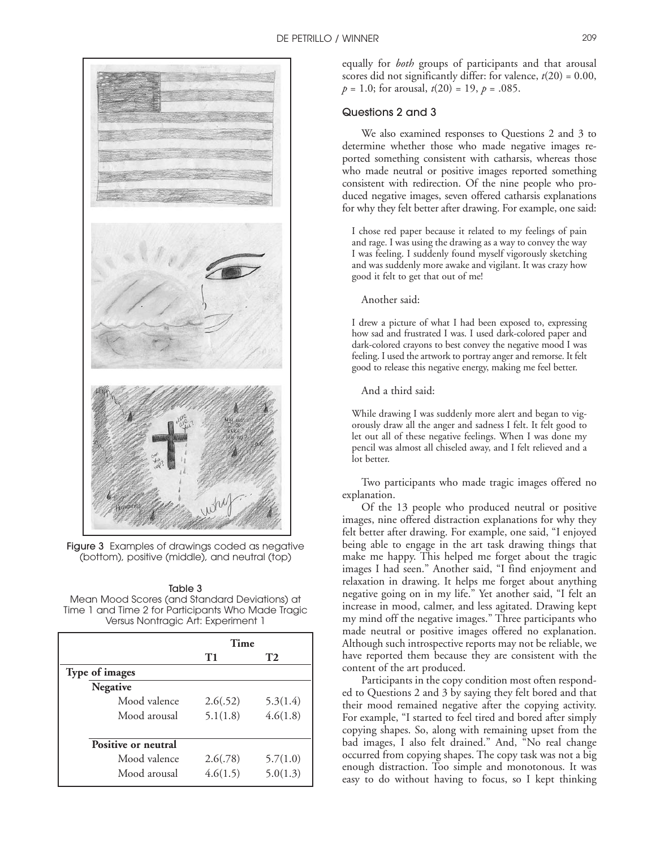

Figure 3 Examples of drawings coded as negative (bottom), positive (middle), and neutral (top)

|                     | Time     |           |  |  |
|---------------------|----------|-----------|--|--|
|                     | T1       | <b>T2</b> |  |  |
| Type of images      |          |           |  |  |
| Negative            |          |           |  |  |
| Mood valence        | 2.6(.52) | 5.3(1.4)  |  |  |
| Mood arousal        | 5.1(1.8) | 4.6(1.8)  |  |  |
|                     |          |           |  |  |
| Positive or neutral |          |           |  |  |
| Mood valence        | 2.6(.78) | 5.7(1.0)  |  |  |
| Mood arousal        | 4.6(1.5) | 5.0(1.3)  |  |  |

equally for *both* groups of participants and that arousal scores did not significantly differ: for valence,  $t(20) = 0.00$ ,  $p = 1.0$ ; for arousal,  $t(20) = 19$ ,  $p = .085$ .

#### Questions 2 and 3

We also examined responses to Questions 2 and 3 to determine whether those who made negative images reported something consistent with catharsis, whereas those who made neutral or positive images reported something consistent with redirection. Of the nine people who produced negative images, seven offered catharsis explanations for why they felt better after drawing. For example, one said:

I chose red paper because it related to my feelings of pain and rage. I was using the drawing as a way to convey the way I was feeling. I suddenly found myself vigorously sketching and was suddenly more awake and vigilant. It was crazy how good it felt to get that out of me!

Another said:

I drew a picture of what I had been exposed to, expressing how sad and frustrated I was. I used dark-colored paper and dark-colored crayons to best convey the negative mood I was feeling. I used the artwork to portray anger and remorse. It felt good to release this negative energy, making me feel better.

And a third said:

While drawing I was suddenly more alert and began to vigorously draw all the anger and sadness I felt. It felt good to let out all of these negative feelings. When I was done my pencil was almost all chiseled away, and I felt relieved and a lot better.

Two participants who made tragic images offered no explanation.

Of the 13 people who produced neutral or positive images, nine offered distraction explanations for why they felt better after drawing. For example, one said, "I enjoyed being able to engage in the art task drawing things that make me happy. This helped me forget about the tragic images I had seen." Another said, "I find enjoyment and relaxation in drawing. It helps me forget about anything negative going on in my life." Yet another said, "I felt an increase in mood, calmer, and less agitated. Drawing kept my mind off the negative images." Three participants who made neutral or positive images offered no explanation. Although such introspective reports may not be reliable, we have reported them because they are consistent with the content of the art produced.

Participants in the copy condition most often responded to Questions 2 and 3 by saying they felt bored and that their mood remained negative after the copying activity. For example, "I started to feel tired and bored after simply copying shapes. So, along with remaining upset from the bad images, I also felt drained." And, "No real change occurred from copying shapes. The copy task was not a big enough distraction. Too simple and monotonous. It was easy to do without having to focus, so I kept thinking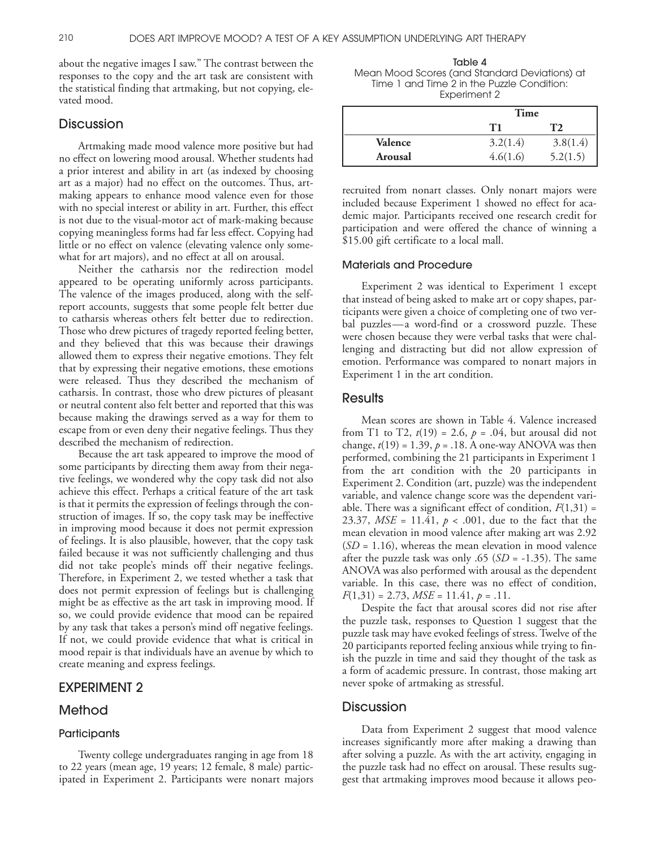about the negative images I saw." The contrast between the responses to the copy and the art task are consistent with the statistical finding that artmaking, but not copying, elevated mood.

# **Discussion**

Artmaking made mood valence more positive but had no effect on lowering mood arousal. Whether students had a prior interest and ability in art (as indexed by choosing art as a major) had no effect on the outcomes. Thus, artmaking appears to enhance mood valence even for those with no special interest or ability in art. Further, this effect is not due to the visual-motor act of mark-making because copying meaningless forms had far less effect. Copying had little or no effect on valence (elevating valence only somewhat for art majors), and no effect at all on arousal.

Neither the catharsis nor the redirection model appeared to be operating uniformly across participants. The valence of the images produced, along with the selfreport accounts, suggests that some people felt better due to catharsis whereas others felt better due to redirection. Those who drew pictures of tragedy reported feeling better, and they believed that this was because their drawings allowed them to express their negative emotions. They felt that by expressing their negative emotions, these emotions were released. Thus they described the mechanism of catharsis. In contrast, those who drew pictures of pleasant or neutral content also felt better and reported that this was because making the drawings served as a way for them to escape from or even deny their negative feelings. Thus they described the mechanism of redirection.

Because the art task appeared to improve the mood of some participants by directing them away from their negative feelings, we wondered why the copy task did not also achieve this effect. Perhaps a critical feature of the art task is that it permits the expression of feelings through the construction of images. If so, the copy task may be ineffective in improving mood because it does not permit expression of feelings. It is also plausible, however, that the copy task failed because it was not sufficiently challenging and thus did not take people's minds off their negative feelings. Therefore, in Experiment 2, we tested whether a task that does not permit expression of feelings but is challenging might be as effective as the art task in improving mood. If so, we could provide evidence that mood can be repaired by any task that takes a person's mind off negative feelings. If not, we could provide evidence that what is critical in mood repair is that individuals have an avenue by which to create meaning and express feelings.

# EXPERIMENT 2

# Method

#### **Participants**

Twenty college undergraduates ranging in age from 18 to 22 years (mean age, 19 years; 12 female, 8 male) participated in Experiment 2. Participants were nonart majors

| Table 4                                       |  |  |
|-----------------------------------------------|--|--|
| Mean Mood Scores (and Standard Deviations) at |  |  |
| Time 1 and Time 2 in the Puzzle Condition:    |  |  |
| Experiment 2                                  |  |  |

 $\pm$   $\pm$   $\pm$ 

|         | Time     |          |
|---------|----------|----------|
|         | T1       | T2       |
| Valence | 3.2(1.4) | 3.8(1.4) |
| Arousal | 4.6(1.6) | 5.2(1.5) |

recruited from nonart classes. Only nonart majors were included because Experiment 1 showed no effect for academic major. Participants received one research credit for participation and were offered the chance of winning a \$15.00 gift certificate to a local mall.

#### Materials and Procedure

Experiment 2 was identical to Experiment 1 except that instead of being asked to make art or copy shapes, participants were given a choice of completing one of two verbal puzzles—a word-find or a crossword puzzle. These were chosen because they were verbal tasks that were challenging and distracting but did not allow expression of emotion. Performance was compared to nonart majors in Experiment 1 in the art condition.

# **Results**

Mean scores are shown in Table 4. Valence increased from T1 to T2,  $t(19) = 2.6$ ,  $p = .04$ , but arousal did not change, *t*(19) = 1.39, *p* = .18. A one-way ANOVA was then performed, combining the 21 participants in Experiment 1 from the art condition with the 20 participants in Experiment 2. Condition (art, puzzle) was the independent variable, and valence change score was the dependent variable. There was a significant effect of condition,  $F(1,31)$  = 23.37, *MSE* = 11.41, *p* < .001, due to the fact that the mean elevation in mood valence after making art was 2.92 (*SD* = 1.16), whereas the mean elevation in mood valence after the puzzle task was only .65 (*SD* = -1.35). The same ANOVA was also performed with arousal as the dependent variable. In this case, there was no effect of condition, *F*(1,31) = 2.73, *MSE* = 11.41, *p* = .11.

Despite the fact that arousal scores did not rise after the puzzle task, responses to Question 1 suggest that the puzzle task may have evoked feelings of stress. Twelve of the 20 participants reported feeling anxious while trying to finish the puzzle in time and said they thought of the task as a form of academic pressure. In contrast, those making art never spoke of artmaking as stressful.

# **Discussion**

Data from Experiment 2 suggest that mood valence increases significantly more after making a drawing than after solving a puzzle. As with the art activity, engaging in the puzzle task had no effect on arousal. These results suggest that artmaking improves mood because it allows peo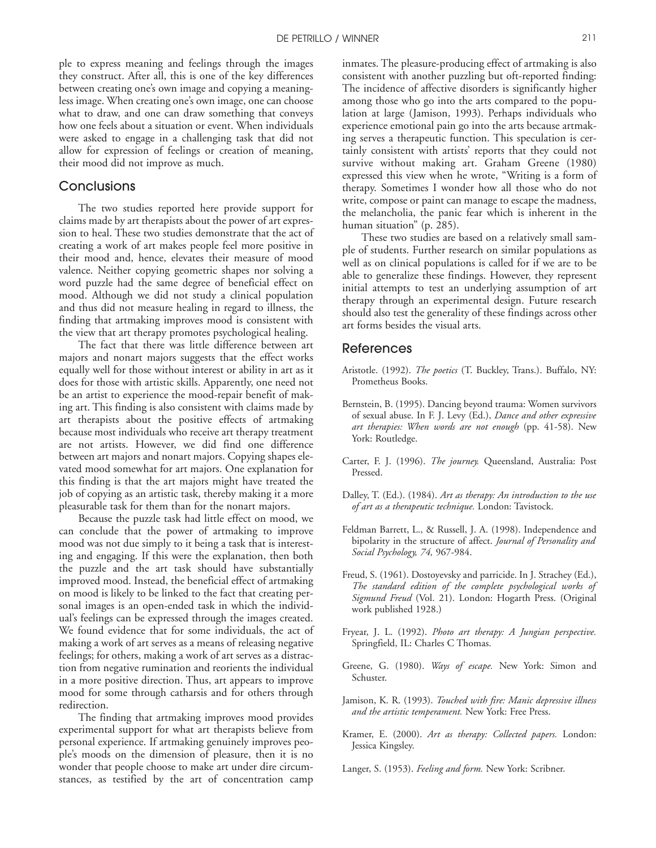ple to express meaning and feelings through the images they construct. After all, this is one of the key differences between creating one's own image and copying a meaningless image. When creating one's own image, one can choose what to draw, and one can draw something that conveys how one feels about a situation or event. When individuals were asked to engage in a challenging task that did not allow for expression of feelings or creation of meaning, their mood did not improve as much.

# **Conclusions**

The two studies reported here provide support for claims made by art therapists about the power of art expression to heal. These two studies demonstrate that the act of creating a work of art makes people feel more positive in their mood and, hence, elevates their measure of mood valence. Neither copying geometric shapes nor solving a word puzzle had the same degree of beneficial effect on mood. Although we did not study a clinical population and thus did not measure healing in regard to illness, the finding that artmaking improves mood is consistent with the view that art therapy promotes psychological healing.

The fact that there was little difference between art majors and nonart majors suggests that the effect works equally well for those without interest or ability in art as it does for those with artistic skills. Apparently, one need not be an artist to experience the mood-repair benefit of making art. This finding is also consistent with claims made by art therapists about the positive effects of artmaking because most individuals who receive art therapy treatment are not artists. However, we did find one difference between art majors and nonart majors. Copying shapes elevated mood somewhat for art majors. One explanation for this finding is that the art majors might have treated the job of copying as an artistic task, thereby making it a more pleasurable task for them than for the nonart majors.

Because the puzzle task had little effect on mood, we can conclude that the power of artmaking to improve mood was not due simply to it being a task that is interesting and engaging. If this were the explanation, then both the puzzle and the art task should have substantially improved mood. Instead, the beneficial effect of artmaking on mood is likely to be linked to the fact that creating personal images is an open-ended task in which the individual's feelings can be expressed through the images created. We found evidence that for some individuals, the act of making a work of art serves as a means of releasing negative feelings; for others, making a work of art serves as a distraction from negative rumination and reorients the individual in a more positive direction. Thus, art appears to improve mood for some through catharsis and for others through redirection.

The finding that artmaking improves mood provides experimental support for what art therapists believe from personal experience. If artmaking genuinely improves people's moods on the dimension of pleasure, then it is no wonder that people choose to make art under dire circumstances, as testified by the art of concentration camp

inmates. The pleasure-producing effect of artmaking is also consistent with another puzzling but oft-reported finding: The incidence of affective disorders is significantly higher among those who go into the arts compared to the population at large (Jamison, 1993). Perhaps individuals who experience emotional pain go into the arts because artmaking serves a therapeutic function. This speculation is certainly consistent with artists' reports that they could not survive without making art. Graham Greene (1980) expressed this view when he wrote, "Writing is a form of therapy. Sometimes I wonder how all those who do not write, compose or paint can manage to escape the madness, the melancholia, the panic fear which is inherent in the human situation" (p. 285).

These two studies are based on a relatively small sample of students. Further research on similar populations as well as on clinical populations is called for if we are to be able to generalize these findings. However, they represent initial attempts to test an underlying assumption of art therapy through an experimental design. Future research should also test the generality of these findings across other art forms besides the visual arts.

# References

- Aristotle. (1992). *The poetics* (T. Buckley, Trans.). Buffalo, NY: Prometheus Books.
- Bernstein, B. (1995). Dancing beyond trauma: Women survivors of sexual abuse. In F. J. Levy (Ed.), *Dance and other expressive art therapies: When words are not enough* (pp. 41-58). New York: Routledge.
- Carter, F. J. (1996). *The journey.* Queensland, Australia: Post Pressed.
- Dalley, T. (Ed.). (1984). *Art as therapy: An introduction to the use of art as a therapeutic technique.* London: Tavistock.
- Feldman Barrett, L., & Russell, J. A. (1998). Independence and bipolarity in the structure of affect. *Journal of Personality and Social Psychology, 74,* 967-984.
- Freud, S. (1961). Dostoyevsky and parricide. In J. Strachey (Ed.), *The standard edition of the complete psychological works of Sigmund Freud* (Vol. 21). London: Hogarth Press. (Original work published 1928.)
- Fryear, J. L. (1992). *Photo art therapy: A Jungian perspective.* Springfield, IL: Charles C Thomas.
- Greene, G. (1980). *Ways of escape.* New York: Simon and Schuster.
- Jamison, K. R. (1993). *Touched with fire: Manic depressive illness and the artistic temperament.* New York: Free Press.
- Kramer, E. (2000). *Art as therapy: Collected papers.* London: Jessica Kingsley.
- Langer, S. (1953). *Feeling and form.* New York: Scribner.